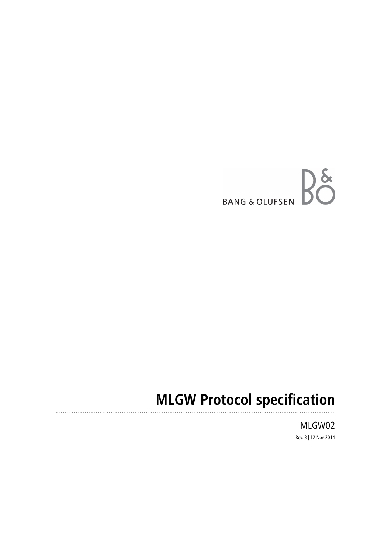

# **MLGW Protocol specification**

MLGW02 Rev. 3 | 12 Nov 2014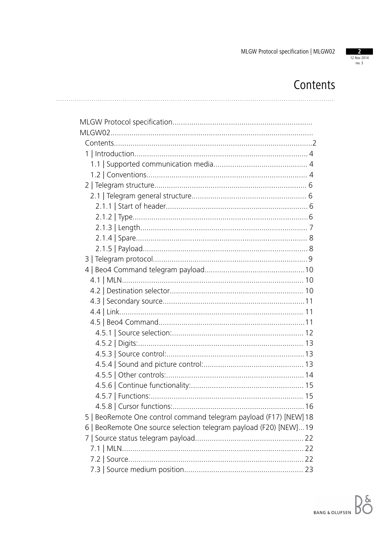

## Contents

| 4.5.8   Cursor functions:.                                        |
|-------------------------------------------------------------------|
| 5   BeoRemote One control command telegram payload (F17) [NEW] 18 |
| 6   BeoRemote One source selection telegram payload (F20) [NEW]19 |
|                                                                   |
|                                                                   |
|                                                                   |
|                                                                   |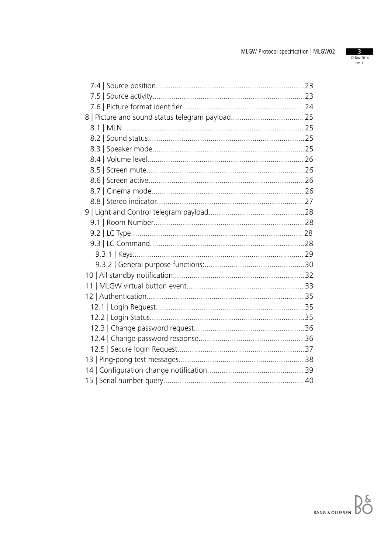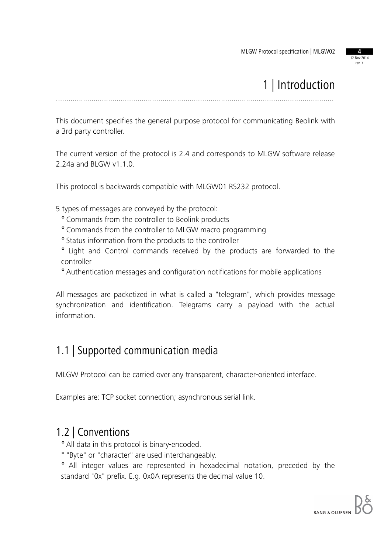12 Nov 2014 rev. 3

## 1 | Introduction

.....................................................................................................................................

This document specifies the general purpose protocol for communicating Beolink with a 3rd party controller.

The current version of the protocol is 2.4 and corresponds to MLGW software release 2.24a and BLGW v1.1.0.

This protocol is backwards compatible with MLGW01 RS232 protocol.

5 types of messages are conveyed by the protocol:

- ° Commands from the controller to Beolink products
- ° Commands from the controller to MLGW macro programming
- ° Status information from the products to the controller
- ° Light and Control commands received by the products are forwarded to the controller
- ° Authentication messages and configuration notifications for mobile applications

All messages are packetized in what is called a "telegram", which provides message synchronization and identification. Telegrams carry a payload with the actual information.

#### 1.1 | Supported communication media

MLGW Protocol can be carried over any transparent, character-oriented interface.

Examples are: TCP socket connection; asynchronous serial link.

#### 1.2 | Conventions

° All data in this protocol is binary-encoded.

° "Byte" or "character" are used interchangeably.

° All integer values are represented in hexadecimal notation, preceded by the standard "0x" prefix. E.g. 0x0A represents the decimal value 10.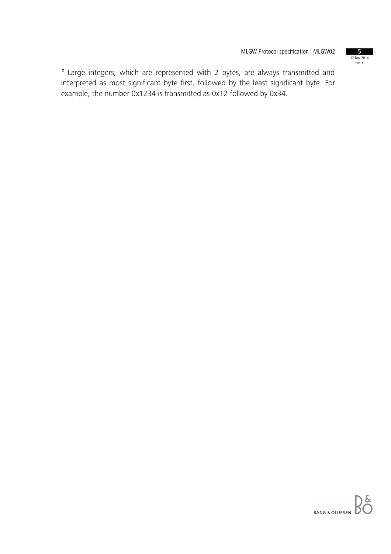12 Nov 2014 rev. 3

° Large integers, which are represented with 2 bytes, are always transmitted and interpreted as most significant byte first, followed by the least significant byte. For example, the number 0x1234 is transmitted as 0x12 followed by 0x34.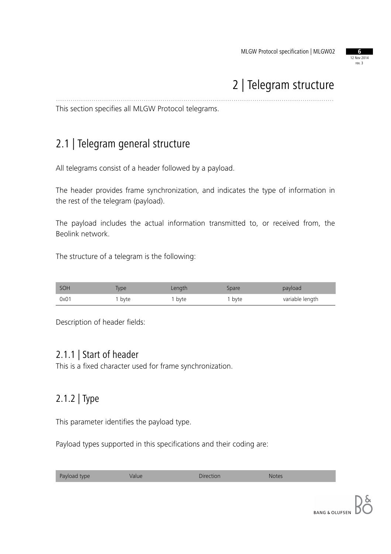

## 2 | Telegram structure

This section specifies all MLGW Protocol telegrams.

### 2.1 | Telegram general structure

All telegrams consist of a header followed by a payload.

The header provides frame synchronization, and indicates the type of information in the rest of the telegram (payload).

.....................................................................................................................................

The payload includes the actual information transmitted to, or received from, the Beolink network.

The structure of a telegram is the following:

| SOH  | <b>iype</b> | Length | Spare  | payload         |
|------|-------------|--------|--------|-----------------|
| 0x01 | byte        | , byte | I byte | variable length |

Description of header fields:

#### 2.1.1 | Start of header

This is a fixed character used for frame synchronization.

#### 2.1.2 | Type

This parameter identifies the payload type.

Payload types supported in this specifications and their coding are:

| Payload type<br>Direction<br>Value<br><b>Notes</b> |
|----------------------------------------------------|
|----------------------------------------------------|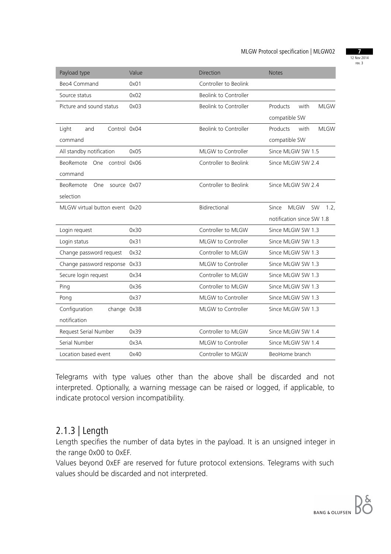12 Nov 2014 rev. 3

| Payload type                    | Value | <b>Direction</b>      | <b>Notes</b>                              |
|---------------------------------|-------|-----------------------|-------------------------------------------|
| Beo4 Command                    | 0x01  | Controller to Beolink |                                           |
| Source status                   | 0x02  | Beolink to Controller |                                           |
| Picture and sound status        | 0x03  | Beolink to Controller | Products<br>with<br><b>MLGW</b>           |
|                                 |       |                       | compatible SW                             |
| Control 0x04<br>Light<br>and    |       | Beolink to Controller | Products<br>with<br><b>MLGW</b>           |
| command                         |       |                       | compatible SW                             |
| All standby notification        | 0x05  | MLGW to Controller    | Since MLGW SW 1.5                         |
| BeoRemote<br>One control 0x06   |       | Controller to Beolink | Since MLGW SW 2.4                         |
| command                         |       |                       |                                           |
| BeoRemote<br>source 0x07<br>One |       | Controller to Beolink | Since MLGW SW 2.4                         |
| selection                       |       |                       |                                           |
| MLGW virtual button event 0x20  |       | Bidirectional         | <b>MLGW</b><br><b>SW</b><br>Since<br>1.2. |
|                                 |       |                       | notification since SW 1.8                 |
| Login request                   | 0x30  | Controller to MLGW    | Since MLGW SW 1.3                         |
| Login status                    | 0x31  | MLGW to Controller    | Since MLGW SW 1.3                         |
| Change password request         | 0x32  | Controller to MLGW    | Since MLGW SW 1.3                         |
| Change password response        | 0x33  | MLGW to Controller    | Since MLGW SW 1.3                         |
| Secure login request            | 0x34  | Controller to MLGW    | Since MLGW SW 1.3                         |
| Ping                            | 0x36  | Controller to MLGW    | Since MLGW SW 1.3                         |
| Pong                            | 0x37  | MLGW to Controller    | Since MLGW SW 1.3                         |
| Configuration<br>change 0x38    |       | MLGW to Controller    | Since MLGW SW 1.3                         |
| notification                    |       |                       |                                           |
| Request Serial Number           | 0x39  | Controller to MLGW    | Since MLGW SW 1.4                         |
| Serial Number                   | 0x3A  | MLGW to Controller    | Since MLGW SW 1.4                         |
| Location based event            | 0x40  | Controller to MGLW    | BeoHome branch                            |

Telegrams with type values other than the above shall be discarded and not interpreted. Optionally, a warning message can be raised or logged, if applicable, to indicate protocol version incompatibility.

#### 2.1.3 | Length

Length specifies the number of data bytes in the payload. It is an unsigned integer in the range 0x00 to 0xEF.

Values beyond 0xEF are reserved for future protocol extensions. Telegrams with such values should be discarded and not interpreted.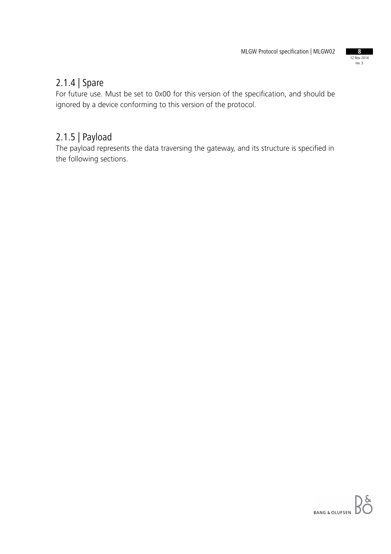

#### 2.1.4 | Spare

For future use. Must be set to 0x00 for this version of the specification, and should be ignored by a device conforming to this version of the protocol.

#### 2.1.5 | Payload

The payload represents the data traversing the gateway, and its structure is specified in the following sections.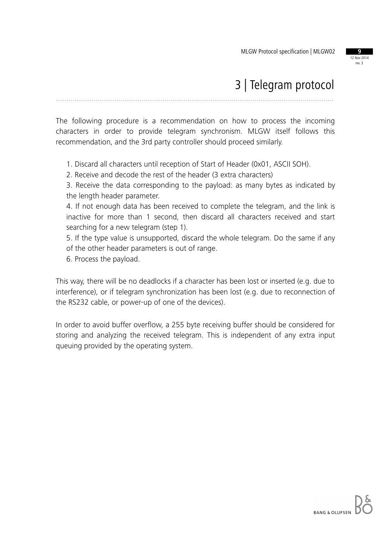

### 3 | Telegram protocol

.....................................................................................................................................

The following procedure is a recommendation on how to process the incoming characters in order to provide telegram synchronism. MLGW itself follows this recommendation, and the 3rd party controller should proceed similarly.

1. Discard all characters until reception of Start of Header (0x01, ASCII SOH).

2. Receive and decode the rest of the header (3 extra characters)

3. Receive the data corresponding to the payload: as many bytes as indicated by the length header parameter.

4. If not enough data has been received to complete the telegram, and the link is inactive for more than 1 second, then discard all characters received and start searching for a new telegram (step 1).

5. If the type value is unsupported, discard the whole telegram. Do the same if any of the other header parameters is out of range.

6. Process the payload.

This way, there will be no deadlocks if a character has been lost or inserted (e.g. due to interference), or if telegram synchronization has been lost (e.g. due to reconnection of the RS232 cable, or power-up of one of the devices).

In order to avoid buffer overflow, a 255 byte receiving buffer should be considered for storing and analyzing the received telegram. This is independent of any extra input queuing provided by the operating system.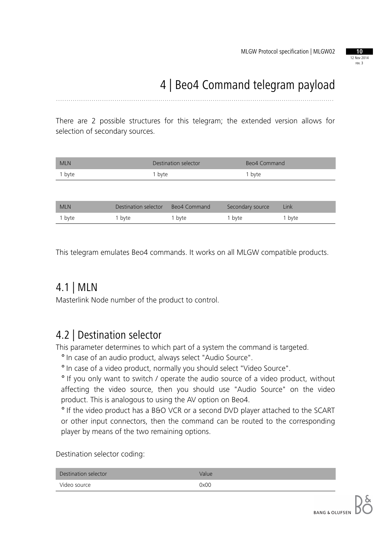

## 4 | Beo4 Command telegram payload

.....................................................................................................................................

There are 2 possible structures for this telegram; the extended version allows for selection of secondary sources.

| <b>MLN</b> | Destination selector | Beo4 Command |
|------------|----------------------|--------------|
| 1 byte     | 1 byte               | 1 byte       |
|            |                      |              |

| <b>MLN</b> | Destination selector | Beo4 Command | Secondary source | Link   |
|------------|----------------------|--------------|------------------|--------|
| I byte     | ' byte               | 1 byte       | 1 byte           | 1 byte |

This telegram emulates Beo4 commands. It works on all MLGW compatible products.

#### 4.1 | MLN

Masterlink Node number of the product to control.

#### 4.2 | Destination selector

This parameter determines to which part of a system the command is targeted.

° In case of an audio product, always select "Audio Source".

° In case of a video product, normally you should select "Video Source".

° If you only want to switch / operate the audio source of a video product, without affecting the video source, then you should use "Audio Source" on the video product. This is analogous to using the AV option on Beo4.

° If the video product has a B&O VCR or a second DVD player attached to the SCART or other input connectors, then the command can be routed to the corresponding player by means of the two remaining options.

Destination selector coding:

| Destination selector | Value |
|----------------------|-------|
| Video source         | 0x00  |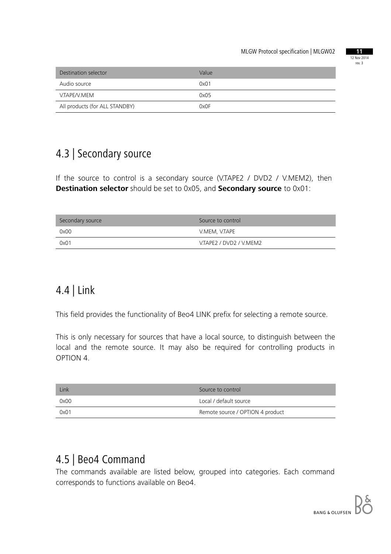

| Destination selector           | Value |
|--------------------------------|-------|
| Audio source                   | 0x01  |
| V.TAPE/V.MEM                   | 0x05  |
| All products (for ALL STANDBY) | 0x0F  |

### 4.3 | Secondary source

If the source to control is a secondary source (V.TAPE2 / DVD2 / V.MEM2), then **Destination selector** should be set to 0x05, and **Secondary source** to 0x01:

| Secondary source | Source to control       |
|------------------|-------------------------|
| 0x00             | V.MEM, V.TAPE           |
| 0x01             | V.TAPE2 / DVD2 / V.MEM2 |

### 4.4 | Link

This field provides the functionality of Beo4 LINK prefix for selecting a remote source.

This is only necessary for sources that have a local source, to distinguish between the local and the remote source. It may also be required for controlling products in OPTION 4.

| Link | Source to control                |
|------|----------------------------------|
| 0x00 | Local / default source           |
| 0x01 | Remote source / OPTION 4 product |

#### 4.5 | Beo4 Command

The commands available are listed below, grouped into categories. Each command corresponds to functions available on Beo4.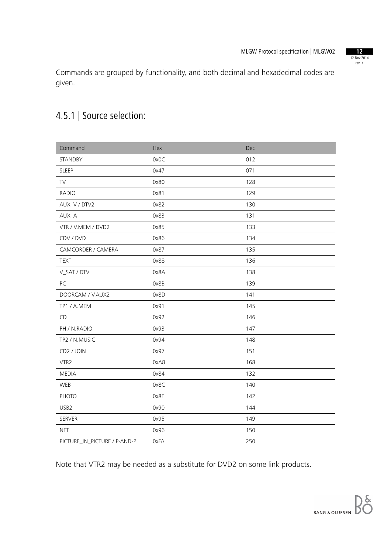12 Nov 2014 rev. 3

Commands are grouped by functionality, and both decimal and hexadecimal codes are given.

### 4.5.1 | Source selection:

| Command                      | Hex  | Dec |
|------------------------------|------|-----|
| STANDBY                      | 0x0C | 012 |
| SLEEP                        | 0x47 | 071 |
| TV                           | 0x80 | 128 |
| <b>RADIO</b>                 | 0x81 | 129 |
| AUX_V / DTV2                 | 0x82 | 130 |
| AUX_A                        | 0x83 | 131 |
| VTR / V.MEM / DVD2           | 0x85 | 133 |
| CDV / DVD                    | 0x86 | 134 |
| CAMCORDER / CAMERA           | 0x87 | 135 |
| <b>TEXT</b>                  | 0x88 | 136 |
| V_SAT / DTV                  | 0x8A | 138 |
| PC                           | 0x8B | 139 |
| DOORCAM / V.AUX2             | 0x8D | 141 |
| TP1 / A.MEM                  | 0x91 | 145 |
| CD                           | 0x92 | 146 |
| PH / N.RADIO                 | 0x93 | 147 |
| TP2 / N.MUSIC                | 0x94 | 148 |
| CD2 / JOIN                   | 0x97 | 151 |
| VTR2                         | 0xA8 | 168 |
| <b>MEDIA</b>                 | 0x84 | 132 |
| WEB                          | 0x8C | 140 |
| PHOTO                        | 0x8E | 142 |
| USB2                         | 0x90 | 144 |
| SERVER                       | 0x95 | 149 |
| <b>NET</b>                   | 0x96 | 150 |
| PICTURE_IN_PICTURE / P-AND-P | 0xFA | 250 |

Note that VTR2 may be needed as a substitute for DVD2 on some link products.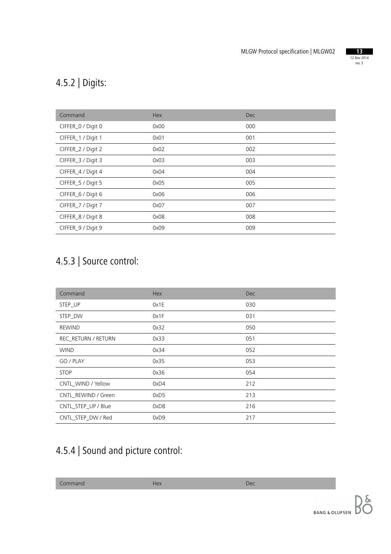

## 4.5.2 | Digits:

| Command            | Hex  | <b>Dec</b> |
|--------------------|------|------------|
| CIFFER_0 / Digit 0 | 0x00 | 000        |
| CIFFER_1 / Digit 1 | 0x01 | 001        |
| CIFFER_2 / Digit 2 | 0x02 | 002        |
| CIFFER_3 / Digit 3 | 0x03 | 003        |
| CIFFER_4 / Digit 4 | 0x04 | 004        |
| CIFFER_5 / Digit 5 | 0x05 | 005        |
| CIFFER_6 / Digit 6 | 0x06 | 006        |
| CIFFER_7 / Digit 7 | 0x07 | 007        |
| CIFFER_8 / Digit 8 | 0x08 | 008        |
| CIFFER_9 / Digit 9 | 0x09 | 009        |

## 4.5.3 | Source control:

| Command             | Hex  | <b>Dec</b> |
|---------------------|------|------------|
| STEP_UP             | 0x1E | 030        |
| STEP DW             | 0x1F | 031        |
| <b>REWIND</b>       | 0x32 | 050        |
| REC_RETURN / RETURN | 0x33 | 051        |
| <b>WIND</b>         | 0x34 | 052        |
| GO / PLAY           | 0x35 | 053        |
| <b>STOP</b>         | 0x36 | 054        |
| CNTL WIND / Yellow  | 0xD4 | 212        |
| CNTL REWIND / Green | 0xD5 | 213        |
| CNTL_STEP_UP / Blue | 0xD8 | 216        |
| CNTL_STEP_DW / Red  | 0xD9 | 217        |

## 4.5.4 | Sound and picture control:

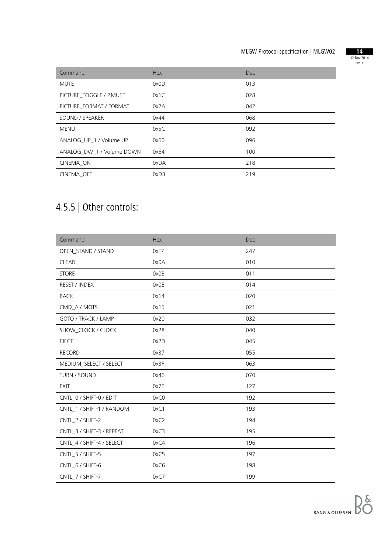

| Command                   | <b>Hex</b> | Dec |
|---------------------------|------------|-----|
| <b>MUTE</b>               | 0x0D       | 013 |
| PICTURE TOGGLE / P.MUTE   | 0x1C       | 028 |
| PICTURE FORMAT / FORMAT   | 0x2A       | 042 |
| SOUND / SPEAKER           | 0x44       | 068 |
| <b>MENU</b>               | 0x5C       | 092 |
| ANALOG UP 1 / Volume UP   | 0x60       | 096 |
| ANALOG DW 1 / Volume DOWN | 0x64       | 100 |
| CINEMA ON                 | 0xDA       | 218 |
| CINEMA OFF                | 0xDB       | 219 |

## 4.5.5 | Other controls:

| Command                   | <b>Hex</b> | Dec |
|---------------------------|------------|-----|
| OPEN_STAND / STAND        | 0xF7       | 247 |
| <b>CLEAR</b>              | 0x0A       | 010 |
| <b>STORE</b>              | 0x0B       | 011 |
| RESET / INDEX             | 0x0E       | 014 |
| <b>BACK</b>               | 0x14       | 020 |
| CMD_A / MOTS              | 0x15       | 021 |
| GOTO / TRACK / LAMP       | 0x20       | 032 |
| SHOW_CLOCK / CLOCK        | 0x28       | 040 |
| <b>EJECT</b>              | 0x2D       | 045 |
| <b>RECORD</b>             | 0x37       | 055 |
| MEDIUM_SELECT / SELECT    | 0x3F       | 063 |
| TURN / SOUND              | 0x46       | 070 |
| <b>EXIT</b>               | 0x7F       | 127 |
| CNTL_0 / SHIFT-0 / EDIT   | 0xC0       | 192 |
| CNTL_1 / SHIFT-1 / RANDOM | 0xC1       | 193 |
| CNTL_2 / SHIFT-2          | 0xC2       | 194 |
| CNTL_3 / SHIFT-3 / REPEAT | 0xC3       | 195 |
| CNTL_4 / SHIFT-4 / SELECT | 0xC4       | 196 |
| CNTL_5 / SHIFT-5          | 0xC5       | 197 |
| CNTL_6 / SHIFT-6          | 0xC6       | 198 |
| CNTL 7 / SHIFT-7          | 0xC7       | 199 |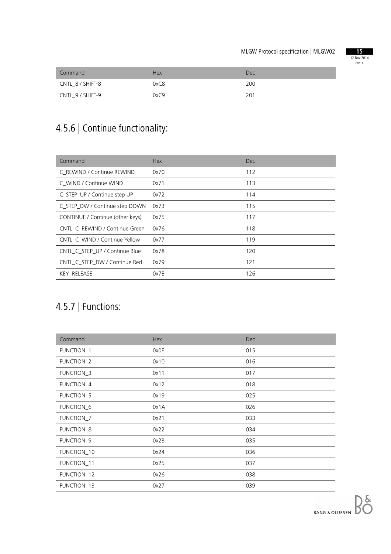

| Command          | <b>Hex</b> | Dec |
|------------------|------------|-----|
| CNTL_8 / SHIFT-8 | 0xC8       | 200 |
| CNTL_9 / SHIFT-9 | 0xC9       | 201 |

## 4.5.6 | Continue functionality:

| Command                          | <b>Hex</b> | Dec. |
|----------------------------------|------------|------|
| C REWIND / Continue REWIND       | 0x70       | 112  |
| C WIND / Continue WIND           | 0x71       | 113  |
| C_STEP_UP / Continue step UP     | 0x72       | 114  |
| C_STEP_DW / Continue step DOWN   | 0x73       | 115  |
| CONTINUE / Continue (other keys) | 0x75       | 117  |
| CNTL C REWIND / Continue Green   | 0x76       | 118  |
| CNTL C WIND / Continue Yellow    | 0x77       | 119  |
| CNTL C STEP UP / Continue Blue   | 0x78       | 120  |
| CNTL C STEP DW / Continue Red    | 0x79       | 121  |
| <b>KEY RELEASE</b>               | 0x7E       | 126  |

## 4.5.7 | Functions:

| Command               | Hex  | <b>Dec</b> |
|-----------------------|------|------------|
| FUNCTION_1            | 0x0F | 015        |
| <b>FUNCTION_2</b>     | 0x10 | 016        |
| <b>FUNCTION_3</b>     | 0x11 | 017        |
| FUNCTION_4            | 0x12 | 018        |
| FUNCTION_5            | 0x19 | 025        |
| FUNCTION <sub>6</sub> | 0x1A | 026        |
| FUNCTION_7            | 0x21 | 033        |
| FUNCTION_8            | 0x22 | 034        |
| FUNCTION <sub>9</sub> | 0x23 | 035        |
| FUNCTION_10           | 0x24 | 036        |
| FUNCTION_11           | 0x25 | 037        |
| FUNCTION_12           | 0x26 | 038        |
| FUNCTION_13           | 0x27 | 039        |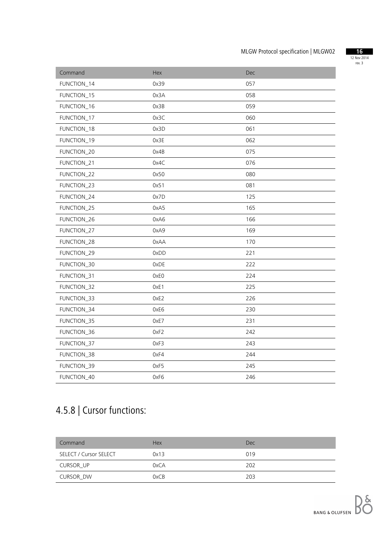

| Command     | Hex  | <b>Dec</b> |
|-------------|------|------------|
| FUNCTION_14 | 0x39 | 057        |
| FUNCTION_15 | 0x3A | 058        |
| FUNCTION_16 | 0x3B | 059        |
| FUNCTION_17 | 0x3C | 060        |
| FUNCTION_18 | 0x3D | 061        |
| FUNCTION_19 | 0x3E | 062        |
| FUNCTION_20 | 0x4B | 075        |
| FUNCTION_21 | 0x4C | 076        |
| FUNCTION_22 | 0x50 | 080        |
| FUNCTION_23 | 0x51 | 081        |
| FUNCTION_24 | 0x7D | 125        |
| FUNCTION_25 | 0xA5 | 165        |
| FUNCTION_26 | 0xA6 | 166        |
| FUNCTION_27 | 0xA9 | 169        |
| FUNCTION_28 | 0xAA | 170        |
| FUNCTION_29 | 0xDD | 221        |
| FUNCTION_30 | 0xDE | 222        |
| FUNCTION_31 | 0xE0 | 224        |
| FUNCTION_32 | OxE1 | 225        |
| FUNCTION_33 | OxE2 | 226        |
| FUNCTION_34 | 0xE6 | 230        |
| FUNCTION_35 | OxE7 | 231        |
| FUNCTION_36 | 0xF2 | 242        |
| FUNCTION_37 | 0xF3 | 243        |
| FUNCTION_38 | 0xF4 | 244        |
| FUNCTION_39 | 0xF5 | 245        |
| FUNCTION_40 | 0xF6 | 246        |
|             |      |            |

## 4.5.8 | Cursor functions:

| Command                | Hex  | <b>Dec</b> |
|------------------------|------|------------|
| SELECT / Cursor SELECT | 0x13 | 019        |
| CURSOR UP              | 0xCA | 202        |
| CURSOR DW              | 0xCB | 203        |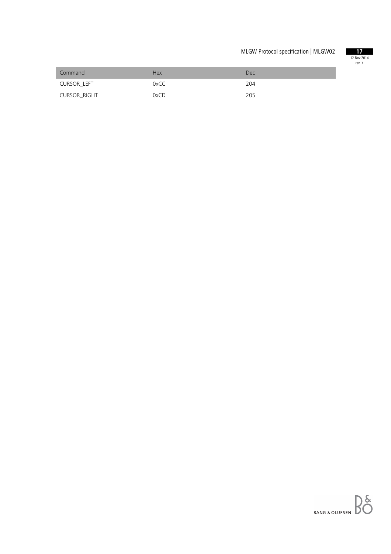

| Command      | <b>Hex</b> | Dec |
|--------------|------------|-----|
| CURSOR LEFT  | 0xCC       | 204 |
| CURSOR_RIGHT | 0xCD       | 205 |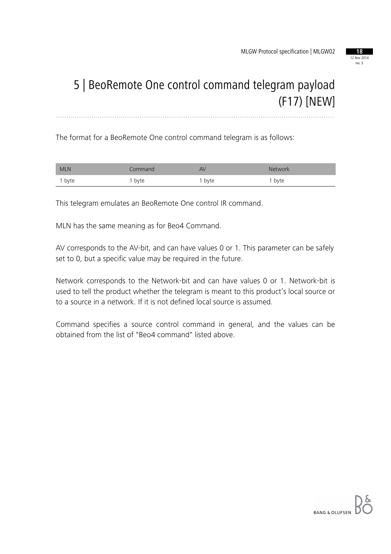

### 5 | BeoRemote One control command telegram payload (F17) [NEW] .....................................................................................................................................

The format for a BeoRemote One control command telegram is as follows:

| <b>MLN</b> | Command | AV   | Network |
|------------|---------|------|---------|
| 1 byte     | byte    | byte | byte    |

This telegram emulates an BeoRemote One control IR command.

MLN has the same meaning as for Beo4 Command.

AV corresponds to the AV-bit, and can have values 0 or 1. This parameter can be safely set to 0, but a specific value may be required in the future.

Network corresponds to the Network-bit and can have values 0 or 1. Network-bit is used to tell the product whether the telegram is meant to this product's local source or to a source in a network. If it is not defined local source is assumed.

Command specifies a source control command in general, and the values can be obtained from the list of "Beo4 command" listed above.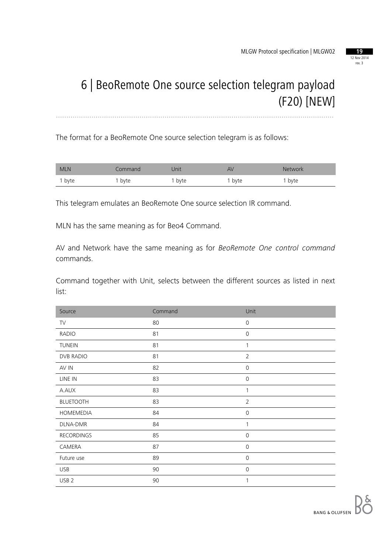

### 6 | BeoRemote One source selection telegram payload (F20) [NEW] .....................................................................................................................................

The format for a BeoRemote One source selection telegram is as follows:

| <b>MLN</b> | ommand | Jnit | AV   | <b>Network</b> |
|------------|--------|------|------|----------------|
| i byte     | , byte | byte | byte | byte           |

This telegram emulates an BeoRemote One source selection IR command.

MLN has the same meaning as for Beo4 Command.

AV and Network have the same meaning as for *BeoRemote One control command* commands.

Command together with Unit, selects between the different sources as listed in next list:

| Source            | Command | Unit           |
|-------------------|---------|----------------|
| TV                | 80      | $\mathbf 0$    |
| <b>RADIO</b>      | 81      | $\mathbf 0$    |
| <b>TUNEIN</b>     | 81      | 1              |
| DVB RADIO         | 81      | $\overline{2}$ |
| AV IN             | 82      | $\mathbf{0}$   |
| LINE IN           | 83      | $\mathbf 0$    |
| A.AUX             | 83      | 1              |
| <b>BLUETOOTH</b>  | 83      | $\overline{2}$ |
| HOMEMEDIA         | 84      | $\mathbf 0$    |
| DLNA-DMR          | 84      | 1              |
| <b>RECORDINGS</b> | 85      | $\mathbf 0$    |
| CAMERA            | 87      | $\mathbf{0}$   |
| Future use        | 89      | $\mathbf 0$    |
| <b>USB</b>        | 90      | 0              |
| USB <sub>2</sub>  | 90      | 1              |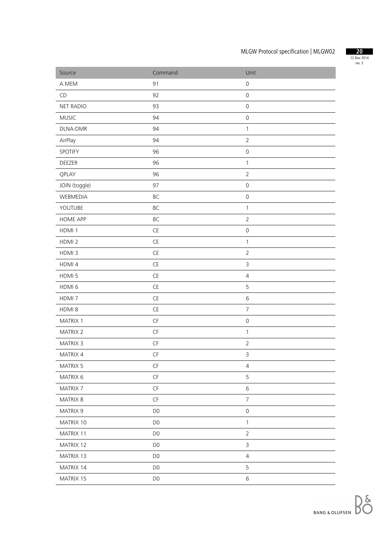

| Source            | Command                | Unit                |
|-------------------|------------------------|---------------------|
| A.MEM             | 91                     | $\mathsf{O}\xspace$ |
| CD                | 92                     | $\mathsf{O}\xspace$ |
| <b>NET RADIO</b>  | 93                     | $\mbox{O}$          |
| <b>MUSIC</b>      | 94                     | $\mbox{O}$          |
| DLNA-DMR          | 94                     | $\mathbf{1}$        |
| AirPlay           | 94                     | $\overline{2}$      |
| SPOTIFY           | 96                     | $\mathsf{O}\xspace$ |
| DEEZER            | 96                     | $\mathbf{1}$        |
| QPLAY             | 96                     | $\overline{2}$      |
| JOIN (toggle)     | 97                     | $\mathsf{O}\xspace$ |
| WEBMEDIA          | 8C                     | $\mathsf{O}\xspace$ |
| YOUTUBE           | 8C                     | $\mathbf{1}$        |
| <b>HOME APP</b>   | 8C                     | $\overline{2}$      |
| HDMI 1            | $\mathsf{CE}$          | $\mbox{O}$          |
| HDMI <sub>2</sub> | $\mathsf{CE}$          | $\mathbf{1}$        |
| HDMI <sub>3</sub> | $\mathsf{CE}$          | $\overline{2}$      |
| HDMI 4            | $\mathsf{CE}$          | $\mathsf{3}$        |
| HDMI 5            | $\mathsf{CE}$          | $\sqrt{4}$          |
| HDMI <sub>6</sub> | $\mathsf{CE}$          | 5                   |
| HDMI <sub>7</sub> | $\mathsf{CE}$          | $\sqrt{6}$          |
| HDMI 8            | $\mathsf{CE}$          | $\overline{7}$      |
| MATRIX 1          | $\mathsf{C}\mathsf{F}$ | $\mathsf{O}\xspace$ |
| MATRIX 2          | $\mathsf{CF}$          | $\mathbf{1}$        |
| MATRIX 3          | $\mathsf{CF}$          | $\overline{2}$      |
| MATRIX 4          | $\mathsf{C}\mathsf{F}$ | $\mathsf 3$         |
| MATRIX 5          | $\mathsf{CF}$          | $\overline{4}$      |
| MATRIX 6          | $\mathsf{C}\mathsf{F}$ | 5                   |
| MATRIX 7          | $\mathsf{C}\mathsf{F}$ | $\,$ 6 $\,$         |
| MATRIX 8          | $\mathsf{CF}$          | $\overline{7}$      |
| MATRIX 9          | D <sub>0</sub>         | $\mathsf{O}\xspace$ |
| MATRIX 10         | D <sub>0</sub>         | $\mathbf{1}$        |
| MATRIX 11         | D <sub>0</sub>         | $\overline{2}$      |
| MATRIX 12         | D <sub>0</sub>         | $\mathsf{3}$        |
| MATRIX 13         | D <sub>0</sub>         | $\overline{4}$      |
| MATRIX 14         | D <sub>0</sub>         | 5                   |
| MATRIX 15         | D <sub>0</sub>         | $\,$ 6 $\,$         |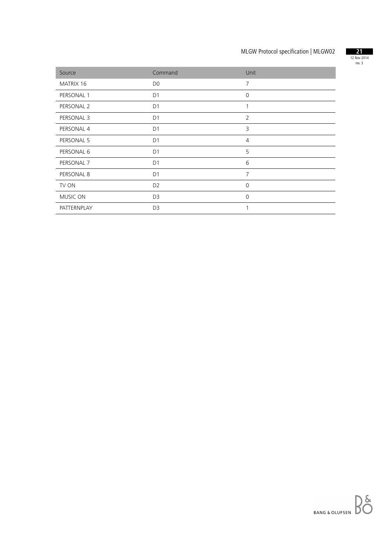

| Source      | Command        | Unit           |
|-------------|----------------|----------------|
| MATRIX 16   | D <sub>0</sub> | $\overline{7}$ |
| PERSONAL 1  | D <sub>1</sub> | $\mathbf 0$    |
| PERSONAL 2  | D <sub>1</sub> | 1              |
| PERSONAL 3  | D <sub>1</sub> | $\overline{2}$ |
| PERSONAL 4  | D <sub>1</sub> | 3              |
| PERSONAL 5  | D <sub>1</sub> | $\overline{4}$ |
| PERSONAL 6  | D <sub>1</sub> | 5              |
| PERSONAL 7  | D <sub>1</sub> | 6              |
| PERSONAL 8  | D <sub>1</sub> | $\overline{7}$ |
| TV ON       | D <sub>2</sub> | $\Omega$       |
| MUSIC ON    | D <sub>3</sub> | $\mathbf 0$    |
| PATTERNPLAY | D <sub>3</sub> | 1              |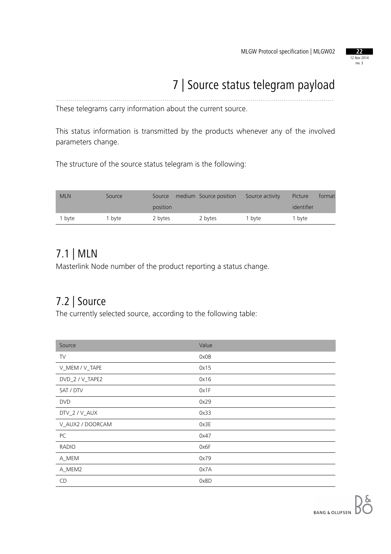

## 7 | Source status telegram payload

These telegrams carry information about the current source.

This status information is transmitted by the products whenever any of the involved parameters change.

.....................................................................................................................................

The structure of the source status telegram is the following:

| <b>MLN</b> | Source | Source   | medium Source position | Source activity | Picture    | format |
|------------|--------|----------|------------------------|-----------------|------------|--------|
|            |        | position |                        |                 | identifier |        |
| 1 byte     | bvte   | 2 bytes  | 2 bytes                | 1 byte          | 1 byte     |        |

#### 7.1 | MLN

Masterlink Node number of the product reporting a status change.

#### 7.2 | Source

The currently selected source, according to the following table:

| Source           | Value |
|------------------|-------|
| TV               | 0x0B  |
| V_MEM / V_TAPE   | 0x15  |
| DVD_2 / V_TAPE2  | 0x16  |
| SAT / DTV        | 0x1F  |
| <b>DVD</b>       | 0x29  |
| DTV_2 / V_AUX    | 0x33  |
| V_AUX2 / DOORCAM | 0x3E  |
| PC               | 0x47  |
| <b>RADIO</b>     | 0x6F  |
| A_MEM            | 0x79  |
| A_MEM2           | 0x7A  |
| CD               | 0x8D  |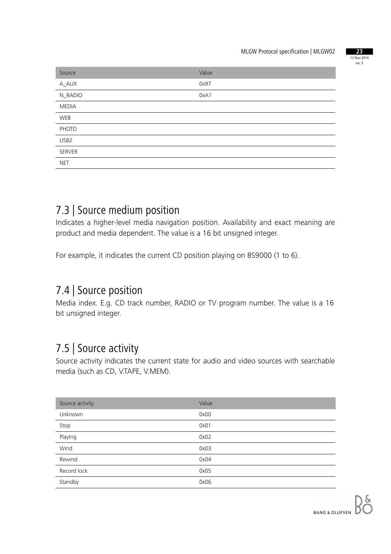

| Source           | Value |
|------------------|-------|
| A_AUX            | 0x97  |
| N_RADIO          | 0xA1  |
| <b>MEDIA</b>     |       |
| WEB              |       |
| PHOTO            |       |
| USB <sub>2</sub> |       |
| SERVER           |       |
| <b>NET</b>       |       |

#### 7.3 | Source medium position

Indicates a higher-level media navigation position. Availability and exact meaning are product and media dependent. The value is a 16 bit unsigned integer.

For example, it indicates the current CD position playing on BS9000 (1 to 6).

#### 7.4 | Source position

Media index. E.g. CD track number, RADIO or TV program number. The value is a 16 bit unsigned integer.

#### 7.5 | Source activity

Source activity indicates the current state for audio and video sources with searchable media (such as CD, V.TAPE, V.MEM).

| Source activity | Value |
|-----------------|-------|
| Unknown         | 0x00  |
| Stop            | 0x01  |
| Playing         | 0x02  |
| Wind            | 0x03  |
| Rewind          | 0x04  |
| Record lock     | 0x05  |
| Standby         | 0x06  |
|                 |       |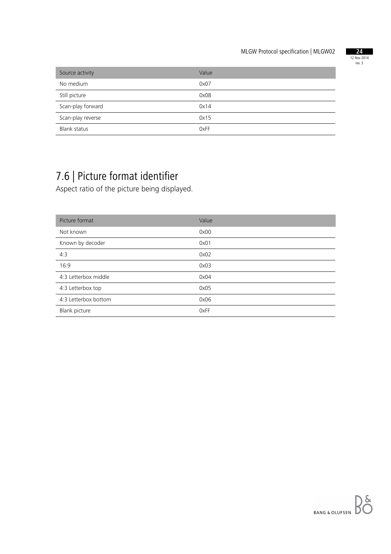

| Source activity     | Value |
|---------------------|-------|
| No medium           | 0x07  |
| Still picture       | 0x08  |
| Scan-play forward   | 0x14  |
| Scan-play reverse   | 0x15  |
| <b>Blank status</b> | 0xFF  |

## 7.6 | Picture format identifier

Aspect ratio of the picture being displayed.

| Picture format       | Value |
|----------------------|-------|
| Not known            | 0x00  |
| Known by decoder     | 0x01  |
| 4:3                  | 0x02  |
| 16:9                 | 0x03  |
| 4:3 Letterbox middle | 0x04  |
| 4:3 Letterbox top    | 0x05  |
| 4:3 Letterbox bottom | 0x06  |
| Blank picture        | 0xFF  |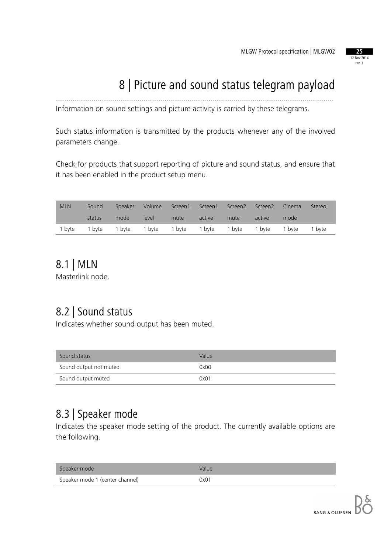#### 12 Nov 2014 rev. 3

## 8 | Picture and sound status telegram payload

Information on sound settings and picture activity is carried by these telegrams.

Such status information is transmitted by the products whenever any of the involved parameters change.

.....................................................................................................................................

Check for products that support reporting of picture and sound status, and ensure that it has been enabled in the product setup menu.

| <b>MLN</b> | Sound  |                                                                | Speaker Volume |      |        | Screen1 Screen1 Screen2 Screen2 |        | Cinema | Stereo |
|------------|--------|----------------------------------------------------------------|----------------|------|--------|---------------------------------|--------|--------|--------|
|            | status | mode                                                           | level          | mute | active | mute                            | active | mode   |        |
|            |        | 1 byte 1 byte 1 byte 1 byte 1 byte 1 byte 1 byte 1 byte 1 byte |                |      |        |                                 |        |        | 1 byte |

#### 8.1 | MLN

Masterlink node.

### 8.2 | Sound status

Indicates whether sound output has been muted.

| Sound status           | Value |
|------------------------|-------|
| Sound output not muted | 0x00  |
| Sound output muted     | 0x01  |

#### 8.3 | Speaker mode

Indicates the speaker mode setting of the product. The currently available options are the following.

| Speaker mode                    | Value |
|---------------------------------|-------|
| Speaker mode 1 (center channel) | 0x01  |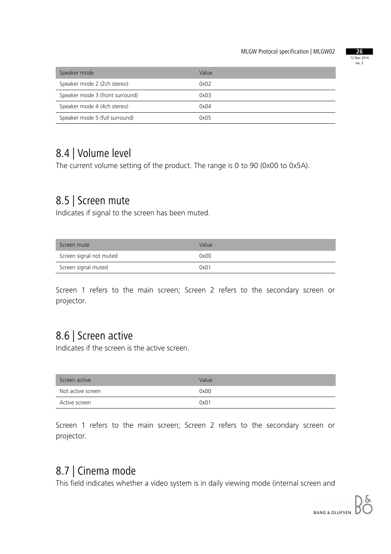

| Speaker mode                    | Value |
|---------------------------------|-------|
| Speaker mode 2 (2ch stereo)     | 0x02  |
| Speaker mode 3 (front surround) | 0x03  |
| Speaker mode 4 (4ch stereo)     | 0x04  |
| Speaker mode 5 (full surround)  | 0x05  |

#### 8.4 | Volume level

The current volume setting of the product. The range is 0 to 90 (0x00 to 0x5A).

#### 8.5 | Screen mute

Indicates if signal to the screen has been muted.

| Screen mute             | Value |
|-------------------------|-------|
| Screen signal not muted | 0x00  |
| Screen signal muted     | 0x01  |

Screen 1 refers to the main screen; Screen 2 refers to the secondary screen or projector.

#### 8.6 | Screen active

Indicates if the screen is the active screen.

| Screen active     | Value |
|-------------------|-------|
| Not active screen | 0x00  |
| Active screen     | 0x01  |

Screen 1 refers to the main screen; Screen 2 refers to the secondary screen or projector.

#### 8.7 | Cinema mode

This field indicates whether a video system is in daily viewing mode (internal screen and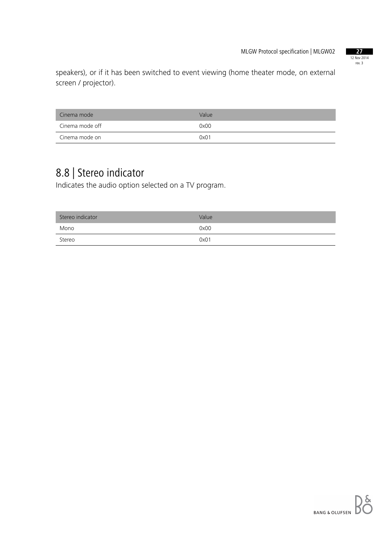

speakers), or if it has been switched to event viewing (home theater mode, on external screen / projector).

| Cinema mode     | Value |
|-----------------|-------|
| Cinema mode off | 0x00  |
| Cinema mode on  | 0x01  |

## 8.8 | Stereo indicator

Indicates the audio option selected on a TV program.

| Stereo indicator | Value |
|------------------|-------|
| Mono             | 0x00  |
| Stereo           | 0x01  |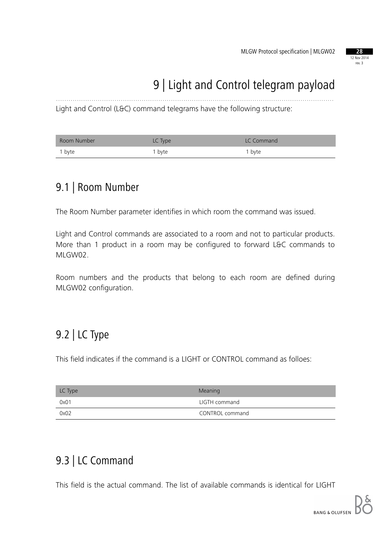

## 9 | Light and Control telegram payload

Light and Control (L&C) command telegrams have the following structure:

| Room Number | LC Type | LC Command        |
|-------------|---------|-------------------|
| 1 byte      | 1 byte  | <sup>1</sup> byte |

.....................................................................................................................................

#### 9.1 | Room Number

The Room Number parameter identifies in which room the command was issued.

Light and Control commands are associated to a room and not to particular products. More than 1 product in a room may be configured to forward L&C commands to MLGW02.

Room numbers and the products that belong to each room are defined during MLGW02 configuration.

### 9.2 | LC Type

This field indicates if the command is a LIGHT or CONTROL command as folloes:

| LC Type | Meaning         |
|---------|-----------------|
| 0x01    | LIGTH command   |
| 0x02    | CONTROL command |

### 9.3 | LC Command

This field is the actual command. The list of available commands is identical for LIGHT

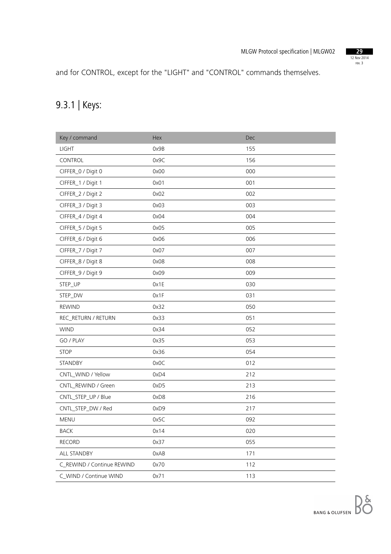

and for CONTROL, except for the "LIGHT" and "CONTROL" commands themselves.

## 9.3.1 | Keys:

| Key / command              | Hex  | Dec |
|----------------------------|------|-----|
| <b>LIGHT</b>               | 0x9B | 155 |
| CONTROL                    | 0x9C | 156 |
| CIFFER_0 / Digit 0         | 0x00 | 000 |
| CIFFER_1 / Digit 1         | 0x01 | 001 |
| CIFFER_2 / Digit 2         | 0x02 | 002 |
| CIFFER_3 / Digit 3         | 0x03 | 003 |
| CIFFER_4 / Digit 4         | 0x04 | 004 |
| CIFFER_5 / Digit 5         | 0x05 | 005 |
| CIFFER_6 / Digit 6         | 0x06 | 006 |
| CIFFER_7 / Digit 7         | 0x07 | 007 |
| CIFFER_8 / Digit 8         | 0x08 | 008 |
| CIFFER_9 / Digit 9         | 0x09 | 009 |
| STEP_UP                    | 0x1E | 030 |
| STEP_DW                    | 0x1F | 031 |
| <b>REWIND</b>              | 0x32 | 050 |
| REC_RETURN / RETURN        | 0x33 | 051 |
| <b>WIND</b>                | 0x34 | 052 |
| GO / PLAY                  | 0x35 | 053 |
| <b>STOP</b>                | 0x36 | 054 |
| STANDBY                    | 0x0C | 012 |
| CNTL_WIND / Yellow         | 0xD4 | 212 |
| CNTL_REWIND / Green        | 0xD5 | 213 |
| CNTL_STEP_UP / Blue        | 0xD8 | 216 |
| CNTL_STEP_DW / Red         | 0xD9 | 217 |
| MENU                       | 0x5C | 092 |
| <b>BACK</b>                | 0x14 | 020 |
| <b>RECORD</b>              | 0x37 | 055 |
| ALL STANDBY                | 0xAB | 171 |
| C_REWIND / Continue REWIND | 0x70 | 112 |
| C_WIND / Continue WIND     | 0x71 | 113 |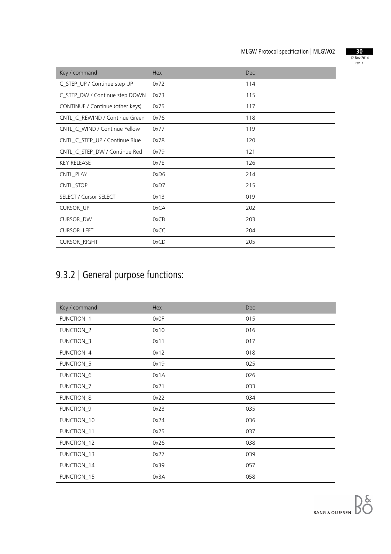

| Key / command                    | <b>Hex</b> | <b>Dec</b> |
|----------------------------------|------------|------------|
| C_STEP_UP / Continue step UP     | 0x72       | 114        |
| C_STEP_DW / Continue step DOWN   | 0x73       | 115        |
| CONTINUE / Continue (other keys) | 0x75       | 117        |
| CNTL_C_REWIND / Continue Green   | 0x76       | 118        |
| CNTL_C_WIND / Continue Yellow    | 0x77       | 119        |
| CNTL_C_STEP_UP / Continue Blue   | 0x78       | 120        |
| CNTL_C_STEP_DW / Continue Red    | 0x79       | 121        |
| <b>KEY RELEASE</b>               | 0x7E       | 126        |
| CNTL_PLAY                        | 0xD6       | 214        |
| CNTL_STOP                        | 0xD7       | 215        |
| <b>SELECT / Cursor SELECT</b>    | 0x13       | 019        |
| <b>CURSOR_UP</b>                 | 0xCA       | 202        |
| CURSOR_DW                        | 0xCB       | 203        |
| <b>CURSOR_LEFT</b>               | 0xCC       | 204        |
| <b>CURSOR_RIGHT</b>              | 0xCD       | 205        |

## 9.3.2 | General purpose functions:

| Key / command | Hex  | <b>Dec</b> |
|---------------|------|------------|
| FUNCTION_1    | 0x0F | 015        |
| FUNCTION_2    | 0x10 | 016        |
| FUNCTION_3    | 0x11 | 017        |
| FUNCTION_4    | 0x12 | 018        |
| FUNCTION_5    | 0x19 | 025        |
| FUNCTION_6    | 0x1A | 026        |
| FUNCTION_7    | 0x21 | 033        |
| FUNCTION_8    | 0x22 | 034        |
| FUNCTION_9    | 0x23 | 035        |
| FUNCTION_10   | 0x24 | 036        |
| FUNCTION_11   | 0x25 | 037        |
| FUNCTION_12   | 0x26 | 038        |
| FUNCTION_13   | 0x27 | 039        |
| FUNCTION_14   | 0x39 | 057        |
| FUNCTION_15   | 0x3A | 058        |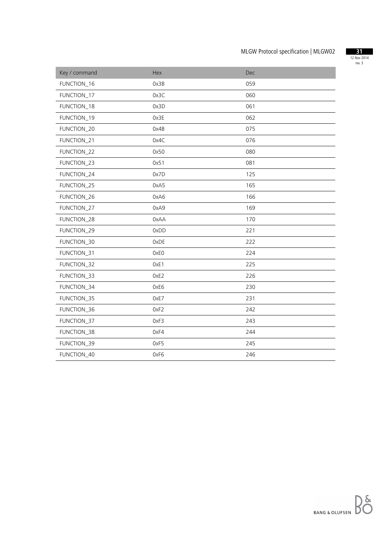

| Key / command | Hex  | Dec |
|---------------|------|-----|
| FUNCTION_16   | 0x3B | 059 |
| FUNCTION_17   | 0x3C | 060 |
| FUNCTION_18   | 0x3D | 061 |
| FUNCTION_19   | 0x3E | 062 |
| FUNCTION_20   | 0x4B | 075 |
| FUNCTION_21   | 0x4C | 076 |
| FUNCTION_22   | 0x50 | 080 |
| FUNCTION_23   | 0x51 | 081 |
| FUNCTION_24   | 0x7D | 125 |
| FUNCTION_25   | 0xA5 | 165 |
| FUNCTION_26   | 0xA6 | 166 |
| FUNCTION_27   | 0xA9 | 169 |
| FUNCTION_28   | 0xAA | 170 |
| FUNCTION_29   | 0xDD | 221 |
| FUNCTION_30   | 0xDE | 222 |
| FUNCTION_31   | 0xE0 | 224 |
| FUNCTION_32   | OxE1 | 225 |
| FUNCTION_33   | 0xE2 | 226 |
| FUNCTION_34   | 0xE6 | 230 |
| FUNCTION_35   | 0xE7 | 231 |
| FUNCTION_36   | OxF2 | 242 |
| FUNCTION_37   | 0xF3 | 243 |
| FUNCTION_38   | 0xF4 | 244 |
| FUNCTION_39   | 0xF5 | 245 |
| FUNCTION_40   | 0xF6 | 246 |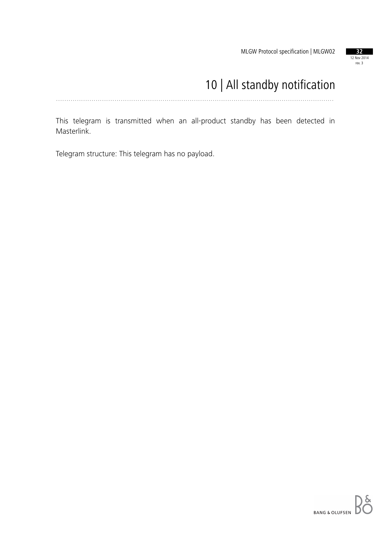

## 10 | All standby notification

.....................................................................................................................................

This telegram is transmitted when an all-product standby has been detected in Masterlink.

Telegram structure: This telegram has no payload.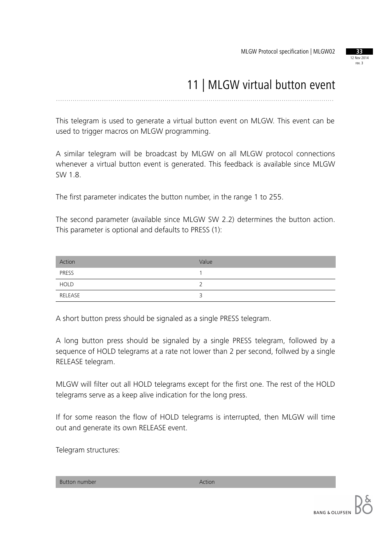

## 11 | MLGW virtual button event

.....................................................................................................................................

This telegram is used to generate a virtual button event on MLGW. This event can be used to trigger macros on MLGW programming.

A similar telegram will be broadcast by MLGW on all MLGW protocol connections whenever a virtual button event is generated. This feedback is available since MLGW SW 1.8.

The first parameter indicates the button number, in the range 1 to 255.

The second parameter (available since MLGW SW 2.2) determines the button action. This parameter is optional and defaults to PRESS (1):

| Action      | Value |
|-------------|-------|
| PRESS       |       |
| <b>HOLD</b> |       |
| RELEASE     |       |

A short button press should be signaled as a single PRESS telegram.

A long button press should be signaled by a single PRESS telegram, followed by a sequence of HOLD telegrams at a rate not lower than 2 per second, follwed by a single RELEASE telegram.

MLGW will filter out all HOLD telegrams except for the first one. The rest of the HOLD telegrams serve as a keep alive indication for the long press.

If for some reason the flow of HOLD telegrams is interrupted, then MLGW will time out and generate its own RELEASE event.

Telegram structures:

Button number Action and Action Action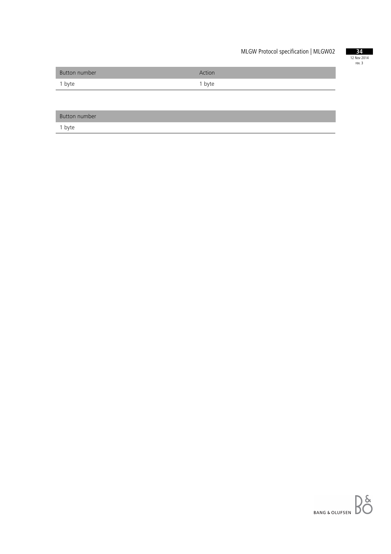

| <b>Button number</b> | Action |
|----------------------|--------|
| 1 byte               | 1 byte |

| <b>Button number</b> |  |
|----------------------|--|
|                      |  |

1 byte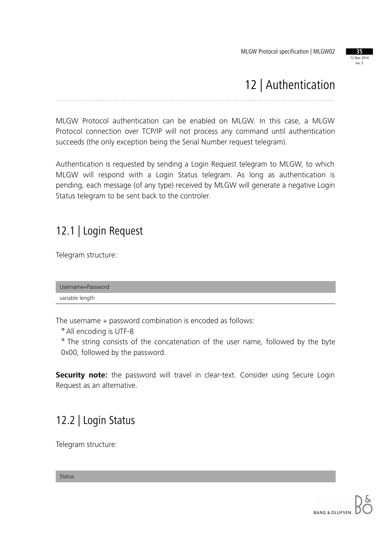

## 12 | Authentication

.....................................................................................................................................

MLGW Protocol authentication can be enabled on MLGW. In this case, a MLGW Protocol connection over TCP/IP will not process any command until authentication succeeds (the only exception being the Serial Number request telegram).

Authentication is requested by sending a Login Request telegram to MLGW, to which MLGW will respond with a Login Status telegram. As long as authentication is pending, each message (of any type) received by MLGW will generate a negative Login Status telegram to be sent back to the controler.

### 12.1 | Login Request

Telegram structure:

Username+Password variable length

The username + password combination is encoded as follows:

° All encoding is UTF-8

° The string consists of the concatenation of the user name, followed by the byte 0x00, followed by the password.

**Security note:** the password will travel in clear-text. Consider using Secure Login Request as an alternative.

### 12.2 | Login Status

Telegram structure:

Status

**BANG & OLUFSEN**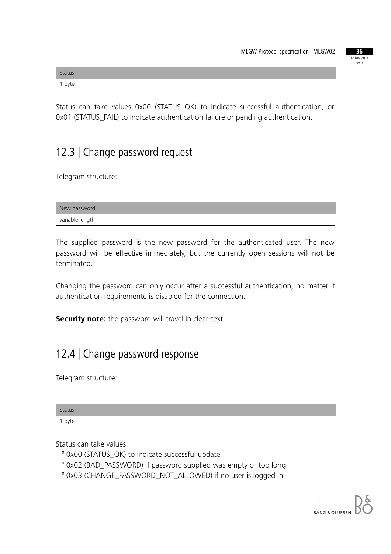|  | 36     |             |
|--|--------|-------------|
|  |        | 12 Nov 2014 |
|  | rev. 3 |             |
|  |        |             |

| <b>Status</b> |  |
|---------------|--|
| 1 byte        |  |

Status can take values 0x00 (STATUS\_OK) to indicate successful authentication, or 0x01 (STATUS\_FAIL) to indicate authentication failure or pending authentication.

### 12.3 | Change password request

Telegram structure:

| New password    |  |
|-----------------|--|
| variable length |  |

The supplied password is the new password for the authenticated user. The new password will be effective immediately, but the currently open sessions will not be terminated.

Changing the password can only occur after a successful authentication, no matter if authentication requiremente is disabled for the connection.

**Security note:** the password will travel in clear-text.

### 12.4 | Change password response

Telegram structure:

| <b>Status</b> |  |  |
|---------------|--|--|
| 1 byte        |  |  |

Status can take values:

- ° 0x00 (STATUS\_OK) to indicate successful update
- ° 0x02 (BAD\_PASSWORD) if password supplied was empty or too long
- ° 0x03 (CHANGE\_PASSWORD\_NOT\_ALLOWED) if no user is logged in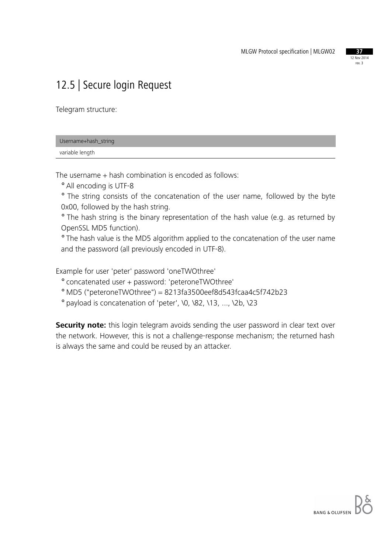

### 12.5 | Secure login Request

Telegram structure:

| Username+hash_string |  |
|----------------------|--|
| variable length      |  |

The username + hash combination is encoded as follows:

° All encoding is UTF-8

° The string consists of the concatenation of the user name, followed by the byte 0x00, followed by the hash string.

° The hash string is the binary representation of the hash value (e.g. as returned by OpenSSL MD5 function).

° The hash value is the MD5 algorithm applied to the concatenation of the user name and the password (all previously encoded in UTF-8).

Example for user 'peter' password 'oneTWOthree'

° concatenated user + password: 'peteroneTWOthree'

° MD5 ("peteroneTWOthree") = 8213fa3500eef8d543fcaa4c5f742b23

° payload is concatenation of 'peter', \0, \82, \13, ..., \2b, \23

**Security note:** this login telegram avoids sending the user password in clear text over the network. However, this is not a challenge-response mechanism; the returned hash is always the same and could be reused by an attacker.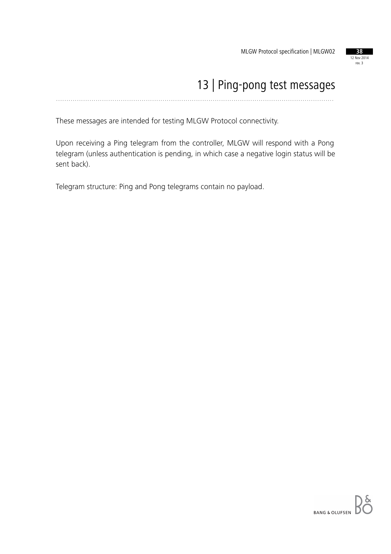

#### 13 | Ping-pong test messages .....................................................................................................................................

These messages are intended for testing MLGW Protocol connectivity.

Upon receiving a Ping telegram from the controller, MLGW will respond with a Pong telegram (unless authentication is pending, in which case a negative login status will be sent back).

Telegram structure: Ping and Pong telegrams contain no payload.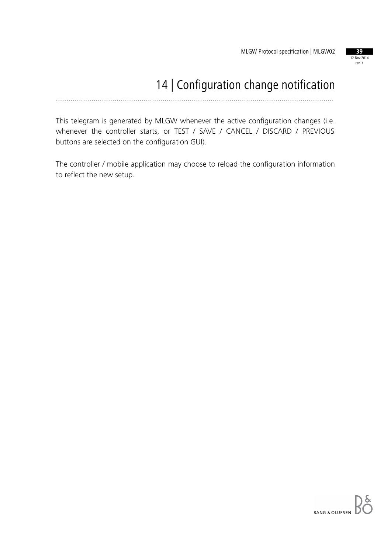

## 14 | Configuration change notification

.....................................................................................................................................

This telegram is generated by MLGW whenever the active configuration changes (i.e. whenever the controller starts, or TEST / SAVE / CANCEL / DISCARD / PREVIOUS buttons are selected on the configuration GUI).

The controller / mobile application may choose to reload the configuration information to reflect the new setup.